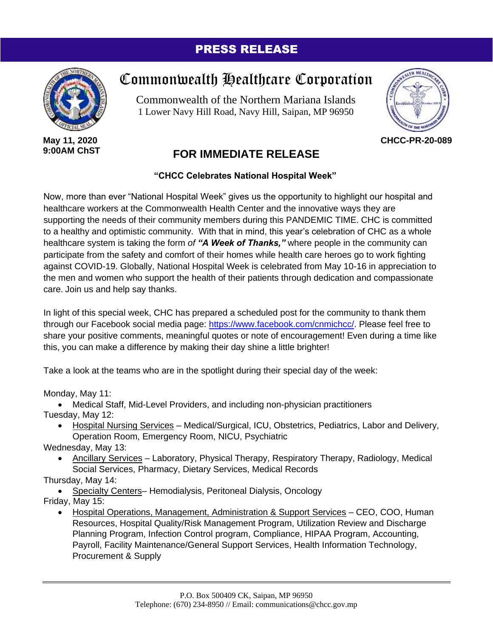## PRESS RELEASE



**May 11, 2020 9:00AM ChST**

## Commonwealth Healthcare Corporation

Commonwealth of the Northern Mariana Islands 1 Lower Navy Hill Road, Navy Hill, Saipan, MP 96950



**CHCC-PR-20-089**

## **FOR IMMEDIATE RELEASE**

## **"CHCC Celebrates National Hospital Week"**

Now, more than ever "National Hospital Week" gives us the opportunity to highlight our hospital and healthcare workers at the Commonwealth Health Center and the innovative ways they are supporting the needs of their community members during this PANDEMIC TIME. CHC is committed to a healthy and optimistic community. With that in mind, this year's celebration of CHC as a whole healthcare system is taking the form *of "A Week of Thanks,"* where people in the community can participate from the safety and comfort of their homes while health care heroes go to work fighting against COVID-19. Globally, National Hospital Week is celebrated from May 10-16 in appreciation to the men and women who support the health of their patients through dedication and compassionate care. Join us and help say thanks.

In light of this special week, CHC has prepared a scheduled post for the community to thank them through our Facebook social media page: [https://www.facebook.com/cnmichcc/.](https://www.facebook.com/cnmichcc/) Please feel free to share your positive comments, meaningful quotes or note of encouragement! Even during a time like this, you can make a difference by making their day shine a little brighter!

Take a look at the teams who are in the spotlight during their special day of the week:

Monday, May 11:

• Medical Staff, Mid-Level Providers, and including non-physician practitioners Tuesday, May 12:

- Hospital Nursing Services Medical/Surgical, ICU, Obstetrics, Pediatrics, Labor and Delivery, Operation Room, Emergency Room, NICU, Psychiatric
- Wednesday, May 13:
	- Ancillary Services Laboratory, Physical Therapy, Respiratory Therapy, Radiology, Medical Social Services, Pharmacy, Dietary Services, Medical Records

Thursday, May 14:

• Specialty Centers– Hemodialysis, Peritoneal Dialysis, Oncology

- Friday, May 15:
	- Hospital Operations, Management, Administration & Support Services CEO, COO, Human Resources, Hospital Quality/Risk Management Program, Utilization Review and Discharge Planning Program, Infection Control program, Compliance, HIPAA Program, Accounting, Payroll, Facility Maintenance/General Support Services, Health Information Technology, Procurement & Supply